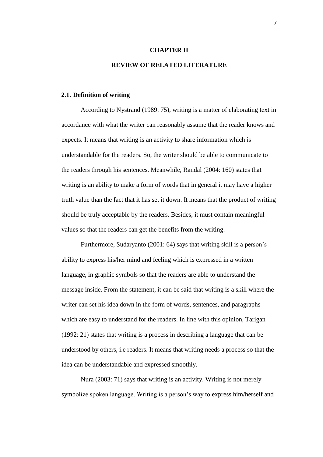### **CHAPTER II**

# **REVIEW OF RELATED LITERATURE**

### **2.1. Definition of writing**

According to Nystrand (1989: 75), writing is a matter of elaborating text in accordance with what the writer can reasonably assume that the reader knows and expects. It means that writing is an activity to share information which is understandable for the readers. So, the writer should be able to communicate to the readers through his sentences. Meanwhile, Randal (2004: 160) states that writing is an ability to make a form of words that in general it may have a higher truth value than the fact that it has set it down. It means that the product of writing should be truly acceptable by the readers. Besides, it must contain meaningful values so that the readers can get the benefits from the writing.

Furthermore, Sudaryanto (2001: 64) says that writing skill is a person's ability to express his/her mind and feeling which is expressed in a written language, in graphic symbols so that the readers are able to understand the message inside. From the statement, it can be said that writing is a skill where the writer can set his idea down in the form of words, sentences, and paragraphs which are easy to understand for the readers. In line with this opinion, Tarigan (1992: 21) states that writing is a process in describing a language that can be understood by others, i.e readers. It means that writing needs a process so that the idea can be understandable and expressed smoothly.

Nura (2003: 71) says that writing is an activity. Writing is not merely symbolize spoken language. Writing is a person's way to express him/herself and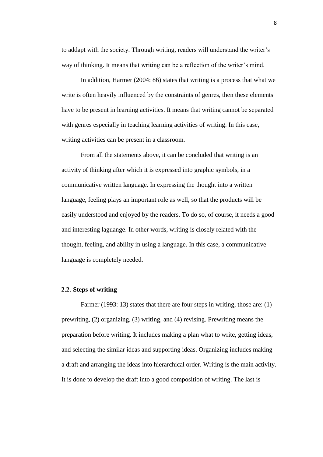to addapt with the society. Through writing, readers will understand the writer's way of thinking. It means that writing can be a reflection of the writer's mind.

In addition, Harmer (2004: 86) states that writing is a process that what we write is often heavily influenced by the constraints of genres, then these elements have to be present in learning activities. It means that writing cannot be separated with genres especially in teaching learning activities of writing. In this case, writing activities can be present in a classroom.

From all the statements above, it can be concluded that writing is an activity of thinking after which it is expressed into graphic symbols, in a communicative written language. In expressing the thought into a written language, feeling plays an important role as well, so that the products will be easily understood and enjoyed by the readers. To do so, of course, it needs a good and interesting laguange. In other words, writing is closely related with the thought, feeling, and ability in using a language. In this case, a communicative language is completely needed.

### **2.2. Steps of writing**

Farmer (1993: 13) states that there are four steps in writing, those are: (1) prewriting, (2) organizing, (3) writing, and (4) revising. Prewriting means the preparation before writing. It includes making a plan what to write, getting ideas, and selecting the similar ideas and supporting ideas. Organizing includes making a draft and arranging the ideas into hierarchical order. Writing is the main activity. It is done to develop the draft into a good composition of writing. The last is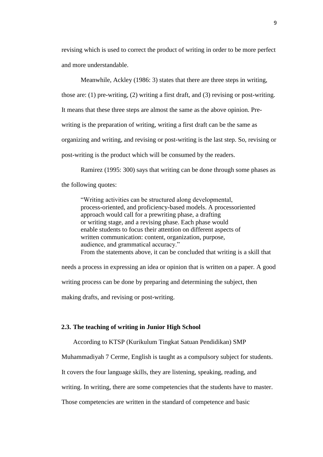revising which is used to correct the product of writing in order to be more perfect and more understandable.

Meanwhile, Ackley (1986: 3) states that there are three steps in writing, those are: (1) pre-writing, (2) writing a first draft, and (3) revising or post-writing. It means that these three steps are almost the same as the above opinion. Prewriting is the preparation of writing, writing a first draft can be the same as organizing and writing, and revising or post-writing is the last step. So, revising or post-writing is the product which will be consumed by the readers.

Ramirez (1995: 300) says that writing can be done through some phases as the following quotes:

"Writing activities can be structured along developmental, process-oriented, and proficiency-based models. A processoriented approach would call for a prewriting phase, a drafting or writing stage, and a revising phase. Each phase would enable students to focus their attention on different aspects of written communication: content, organization, purpose, audience, and grammatical accuracy." From the statements above, it can be concluded that writing is a skill that

needs a process in expressing an idea or opinion that is written on a paper. A good

writing process can be done by preparing and determining the subject, then

making drafts, and revising or post-writing.

## **2.3. The teaching of writing in Junior High School**

According to KTSP (Kurikulum Tingkat Satuan Pendidikan) SMP

Muhammadiyah 7 Cerme, English is taught as a compulsory subject for students.

It covers the four language skills, they are listening, speaking, reading, and

writing. In writing, there are some competencies that the students have to master.

Those competencies are written in the standard of competence and basic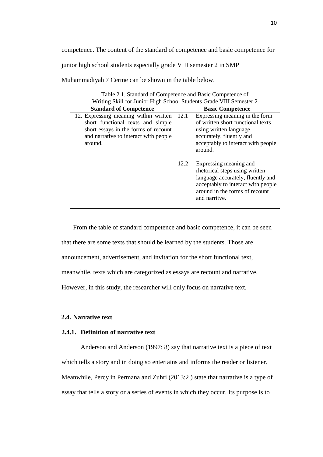competence. The content of the standard of competence and basic competence for

junior high school students especially grade VIII semester 2 in SMP

Muhammadiyah 7 Cerme can be shown in the table below.

| Table 2.1. Standard of Competence and Basic Competence of<br>Writing Skill for Junior High School Students Grade VIII Semester 2                                       |      |                                                                                                                                                                                        |
|------------------------------------------------------------------------------------------------------------------------------------------------------------------------|------|----------------------------------------------------------------------------------------------------------------------------------------------------------------------------------------|
| <b>Standard of Competence</b>                                                                                                                                          |      | <b>Basic Competence</b>                                                                                                                                                                |
| 12. Expressing meaning within written<br>short functional texts and simple<br>short essays in the forms of recount<br>and narrative to interact with people<br>around. | 12.1 | Expressing meaning in the form<br>of written short functional texts<br>using written language<br>accurately, fluently and<br>acceptably to interact with people<br>around.             |
|                                                                                                                                                                        | 12.2 | Expressing meaning and<br>rhetorical steps using written<br>language accurately, fluently and<br>acceptably to interact with people<br>around in the forms of recount<br>and narritye. |

From the table of standard competence and basic competence, it can be seen that there are some texts that should be learned by the students. Those are announcement, advertisement, and invitation for the short functional text, meanwhile, texts which are categorized as essays are recount and narrative. However, in this study, the researcher will only focus on narrative text.

# **2.4. Narrative text**

## **2.4.1. Definition of narrative text**

Anderson and Anderson (1997: 8) say that narrative text is a piece of text which tells a story and in doing so entertains and informs the reader or listener. Meanwhile, Percy in Permana and Zuhri (2013:2 ) state that narrative is a type of essay that tells a story or a series of events in which they occur. Its purpose is to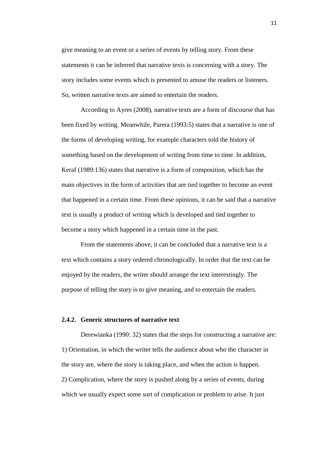give meaning to an event or a series of events by telling story. From these statements it can be inferred that narrative texts is concerning with a story. The story includes some events which is presented to amuse the readers or listeners. So, written narrative texts are aimed to entertain the readers.

According to Ayres (2008), narrative texts are a form of discourse that has been fixed by writing. Meanwhile, Parera (1993:5) states that a narrative is one of the forms of developing writing, for example characters told the history of something based on the development of writing from time to time. In addition, Keraf (1989:136) states that narrative is a form of composition, which has the main objectives in the form of activities that are tied together to become an event that happened in a certain time. From these opinions, it can be said that a narrative text is usually a product of writing which is developed and tied together to become a story which happened in a certain time in the past.

From the statements above, it can be concluded that a narrative text is a text which contains a story ordered chronologically. In order that the text can be enjoyed by the readers, the writer should arrange the text interestingly. The purpose of telling the story is to give meaning, and to entertain the readers.

# **2.4.2. Generic structures of narrative text**

Derewianka (1990: 32) states that the steps for constructing a narrative are: 1) Orientation, in which the writer tells the audience about who the character in the story are, where the story is taking place, and when the action is happen. 2) Complication, where the story is pushed along by a series of events, during which we usually expect some sort of complication or problem to arise. It just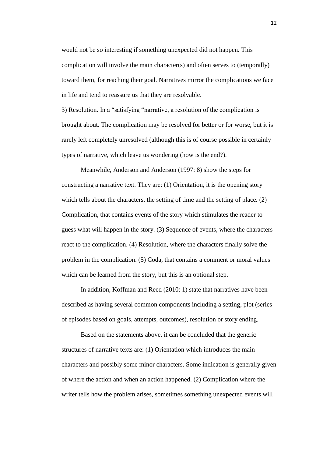would not be so interesting if something unexpected did not happen. This complication will involve the main character(s) and often serves to (temporally) toward them, for reaching their goal. Narratives mirror the complications we face in life and tend to reassure us that they are resolvable.

3) Resolution. In a "satisfying "narrative, a resolution of the complication is brought about. The complication may be resolved for better or for worse, but it is rarely left completely unresolved (although this is of course possible in certainly types of narrative, which leave us wondering (how is the end?).

Meanwhile, Anderson and Anderson (1997: 8) show the steps for constructing a narrative text. They are: (1) Orientation, it is the opening story which tells about the characters, the setting of time and the setting of place. (2) Complication, that contains events of the story which stimulates the reader to guess what will happen in the story. (3) Sequence of events, where the characters react to the complication. (4) Resolution, where the characters finally solve the problem in the complication. (5) Coda, that contains a comment or moral values which can be learned from the story, but this is an optional step.

In addition, Koffman and Reed (2010: 1) state that narratives have been described as having several common components including a setting, plot (series of episodes based on goals, attempts, outcomes), resolution or story ending.

Based on the statements above, it can be concluded that the generic structures of narrative texts are: (1) Orientation which introduces the main characters and possibly some minor characters. Some indication is generally given of where the action and when an action happened. (2) Complication where the writer tells how the problem arises, sometimes something unexpected events will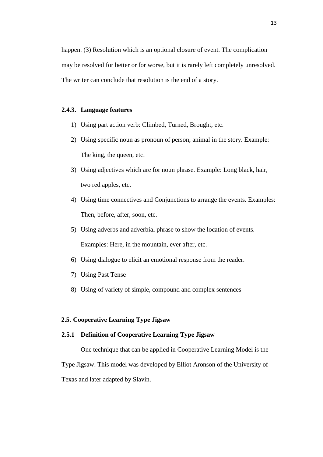happen. (3) Resolution which is an optional closure of event. The complication may be resolved for better or for worse, but it is rarely left completely unresolved. The writer can conclude that resolution is the end of a story.

## **2.4.3. Language features**

- 1) Using part action verb: Climbed, Turned, Brought, etc.
- 2) Using specific noun as pronoun of person, animal in the story. Example: The king, the queen, etc.
- 3) Using adjectives which are for noun phrase. Example: Long black, hair, two red apples, etc.
- 4) Using time connectives and Conjunctions to arrange the events. Examples: Then, before, after, soon, etc.
- 5) Using adverbs and adverbial phrase to show the location of events. Examples: Here, in the mountain, ever after, etc.
- 6) Using dialogue to elicit an emotional response from the reader.
- 7) Using Past Tense
- 8) Using of variety of simple, compound and complex sentences

# **2.5. Cooperative Learning Type Jigsaw**

# **2.5.1 Definition of Cooperative Learning Type Jigsaw**

One technique that can be applied in Cooperative Learning Model is the Type Jigsaw. This model was developed by Elliot Aronson of the University of Texas and later adapted by Slavin.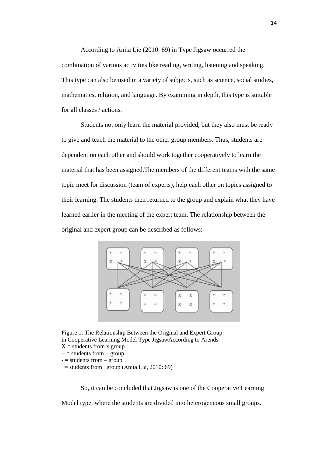According to Anita Lie (2010: 69) in Type Jigsaw occurred the combination of various activities like reading, writing, listening and speaking. This type can also be used in a variety of subjects, such as science, social studies, mathematics, religion, and language. By examining in depth, this type is suitable for all classes / actions.

Students not only learn the material provided, but they also must be ready to give and teach the material to the other group members. Thus, students are dependent on each other and should work together cooperatively to learn the material that has been assigned.The members of the different teams with the same topic meet for discussion (team of experts), help each other on topics assigned to their learning. The students then returned to the group and explain what they have learned earlier in the meeting of the expert team. The relationship between the original and expert group can be described as follows:



Figure 1. The Relationship Between the Original and Expert Group in Cooperative Learning Model Type JigsawAccording to Arends

- $X =$  students from x group
- $+=$  students from  $+$  group
- $-$  = students from  $-$  group
- ∙ = students from ∙ group (Anita Lie, 2010: 69)

So, it can be concluded that Jigsaw is one of the Cooperative Learning Model type, where the students are divided into heterogeneous small groups.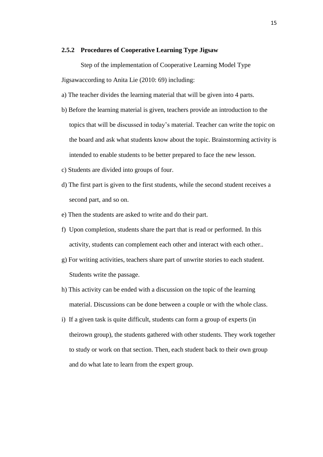### **2.5.2 Procedures of Cooperative Learning Type Jigsaw**

Step of the implementation of Cooperative Learning Model Type Jigsawaccording to Anita Lie (2010: 69) including:

- a) The teacher divides the learning material that will be given into 4 parts.
- b) Before the learning material is given, teachers provide an introduction to the topics that will be discussed in today's material. Teacher can write the topic on the board and ask what students know about the topic. Brainstorming activity is intended to enable students to be better prepared to face the new lesson.
- c) Students are divided into groups of four.
- d) The first part is given to the first students, while the second student receives a second part, and so on.
- e) Then the students are asked to write and do their part.
- f) Upon completion, students share the part that is read or performed. In this activity, students can complement each other and interact with each other..
- g) For writing activities, teachers share part of unwrite stories to each student. Students write the passage.
- h) This activity can be ended with a discussion on the topic of the learning material. Discussions can be done between a couple or with the whole class.
- i) If a given task is quite difficult, students can form a group of experts (in theirown group), the students gathered with other students. They work together to study or work on that section. Then, each student back to their own group and do what late to learn from the expert group.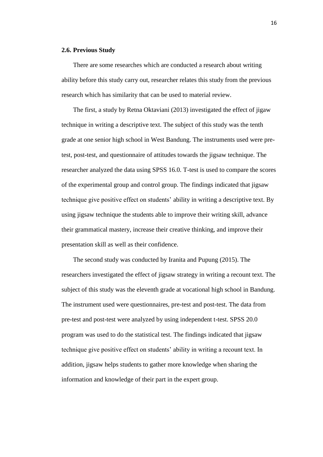## **2.6. Previous Study**

There are some researches which are conducted a research about writing ability before this study carry out, researcher relates this study from the previous research which has similarity that can be used to material review.

The first, a study by Retna Oktaviani (2013) investigated the effect of jigaw technique in writing a descriptive text. The subject of this study was the tenth grade at one senior high school in West Bandung. The instruments used were pretest, post-test, and questionnaire of attitudes towards the jigsaw technique. The researcher analyzed the data using SPSS 16.0. T-test is used to compare the scores of the experimental group and control group. The findings indicated that jigsaw technique give positive effect on students' ability in writing a descriptive text. By using jigsaw technique the students able to improve their writing skill, advance their grammatical mastery, increase their creative thinking, and improve their presentation skill as well as their confidence.

The second study was conducted by Iranita and Pupung (2015). The researchers investigated the effect of jigsaw strategy in writing a recount text. The subject of this study was the eleventh grade at vocational high school in Bandung. The instrument used were questionnaires, pre-test and post-test. The data from pre-test and post-test were analyzed by using independent t-test. SPSS 20.0 program was used to do the statistical test. The findings indicated that jigsaw technique give positive effect on students' ability in writing a recount text. In addition, jigsaw helps students to gather more knowledge when sharing the information and knowledge of their part in the expert group.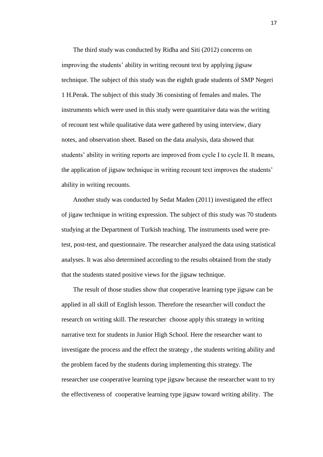The third study was conducted by Ridha and Siti (2012) concerns on improving the students' ability in writing recount text by applying jigsaw technique. The subject of this study was the eighth grade students of SMP Negeri 1 H.Perak. The subject of this study 36 consisting of females and males. The instruments which were used in this study were quantitaive data was the writing of recount test while qualitative data were gathered by using interview, diary notes, and observation sheet. Based on the data analysis, data showed that students' ability in writing reports are improved from cycle I to cycle II. It means, the application of jigsaw technique in writing recount text improves the students' ability in writing recounts.

Another study was conducted by Sedat Maden (2011) investigated the effect of jigaw technique in writing expression. The subject of this study was 70 students studying at the Department of Turkish teaching. The instruments used were pretest, post-test, and questionnaire. The researcher analyzed the data using statistical analyses. It was also determined according to the results obtained from the study that the students stated positive views for the jigsaw technique.

The result of those studies show that cooperative learning type jigsaw can be applied in all skill of English lesson. Therefore the researcher will conduct the research on writing skill. The researcher choose apply this strategy in writing narrative text for students in Junior High School. Here the researcher want to investigate the process and the effect the strategy , the students writing ability and the problem faced by the students during implementing this strategy. The researcher use cooperative learning type jigsaw because the researcher want to try the effectiveness of cooperative learning type jigsaw toward writing ability. The